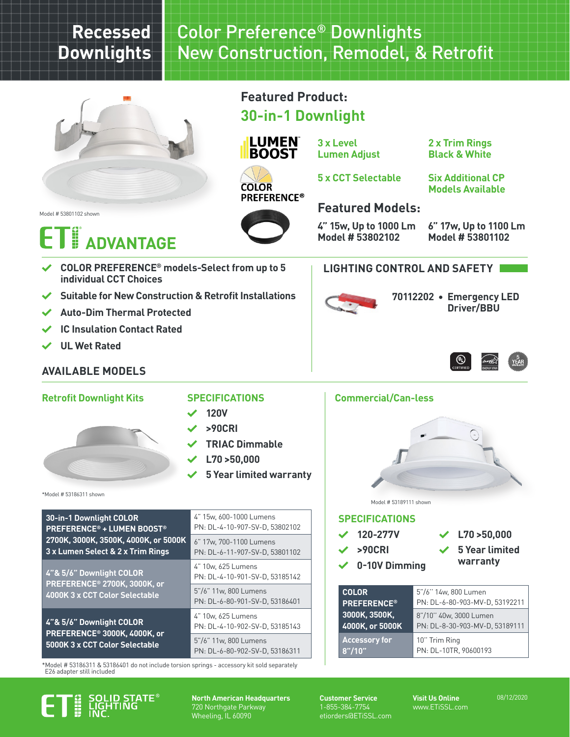# **Recessed Downlights**

# Color Preference® Downlights New Construction, Remodel, & Retrofit



**Featured Product:**

**30-in-1 Downlight**



**3 x Level Lumen Adjust** **2 x Trim Rings Black & White**

**COLOR PREFERENCE®** 

# **5 x CCT Selectable**

**Six Additional CP Models Available**

Model # 53801102 shown

## 36<br>H **NVANTAGE**



# **Featured Models:**

**LIGHTING CONTROL AND SAFETY**

**4" 15w, Up to 1000 Lm Model # 53802102**

**6" 17w, Up to 1100 Lm Model # 53801102**

**Driver/BBU**

**70112202 • Emergency LED** 

 $^{\circledR}$ 

- **COLOR PREFERENCE® models-Select from up to 5 individual CCT Choices**
- **Suitable for New Construction & Retrofit Installations**
- **Auto-Dim Thermal Protected**
- **IC Insulation Contact Rated**
- **UL Wet Rated**

\*Model # 53186311 shown

## **AVAILABLE MODELS**

#### **Retrofit Downlight Kits SPECIFICATIONS Commercial/Can-less**

#### **SPECIFICATIONS**

- **120V**
- **>90CRI**
- **TRIAC Dimmable**
- **L70 >50,000**
- **5 Year limited warranty**

| 30-in-1 Downlight COLOR                                 | 4" 15w. 600-1000 Lumens                                 |  |  |  |  |
|---------------------------------------------------------|---------------------------------------------------------|--|--|--|--|
| <b>PREFERENCE<sup>®</sup> + LUMEN BOOST<sup>®</sup></b> | PN: DL-4-10-907-SV-D. 53802102                          |  |  |  |  |
| 2700K, 3000K, 3500K, 4000K, or 5000K                    | 6" 17w, 700-1100 Lumens                                 |  |  |  |  |
| 3 x Lumen Select & 2 x Trim Rings                       | PN: DL-6-11-907-SV-D, 53801102                          |  |  |  |  |
| 4"& 5/6" Downlight COLOR                                | 4" 10w, 625 Lumens                                      |  |  |  |  |
| PREFERENCE® 2700K, 3000K, or                            | PN: DL-4-10-901-SV-D. 53185142                          |  |  |  |  |
| 4000K 3 x CCT Color Selectable                          | 5"/6" 11w. 800 Lumens<br>PN: DL-6-80-901-SV-D. 53186401 |  |  |  |  |
| 4"& 5/6" Downlight COLOR                                | 4" 10w, 625 Lumens                                      |  |  |  |  |
| PREFERENCE <sup>®</sup> 3000K, 4000K, or                | PN: DL-4-10-902-SV-D, 53185143                          |  |  |  |  |
| 5000K 3 x CCT Color Selectable                          | 5"/6" 11w. 800 Lumens                                   |  |  |  |  |

PN: DL-6-80-902-SV-D, 53186311

\*Model # 53186311 & 53186401 do not include torsion springs - accessory kit sold separately E26 adapter still included



**North American Headquarters** 720 Northgate Parkway Wheeling, IL 60090

**Customer Service** 1-855-384-7754 etiorders@ETiSSL.com **Visit Us Online** www.ETiSSL.com

08/12/2020

**SPECIFICATIONS** Model # 53189111 shown

 **L70 >50,000**

 **120-277V >90CRI**

**0-10V Dimming**

 **5 Year limited warranty**

| 5"/6" 14w, 800 Lumen                                     |
|----------------------------------------------------------|
| PN: DL-6-80-903-MV-D, 53192211                           |
| 8"/10" 40w, 3000 Lumen<br>PN: DL-8-30-903-MV-D, 53189111 |
| 10" Trim Ring<br>PN: DL-10TR, 90600193                   |
|                                                          |

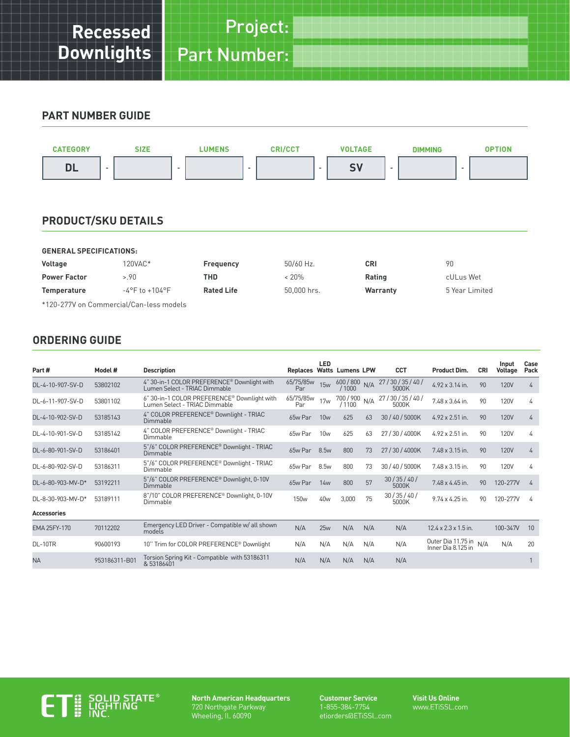#### **PART NUMBER GUIDE**



### **PRODUCT/SKU DETAILS**

| <b>GENERAL SPECIFICATIONS:</b>          |                                    |                   |             |          |                |  |  |  |
|-----------------------------------------|------------------------------------|-------------------|-------------|----------|----------------|--|--|--|
| <b>Voltage</b>                          | 120VAC*                            | Frequency         | $50/60$ Hz. | CRI      | 90             |  |  |  |
| <b>Power Factor</b>                     | >.90                               | THD               | $< 20\%$    | Rating   | cULus Wet      |  |  |  |
| <b>Temperature</b>                      | $-4^{\circ}$ F to $+104^{\circ}$ F | <b>Rated Life</b> | 50.000 hrs. | Warranty | 5 Year Limited |  |  |  |
| *120-277V on Commercial/Can-less models |                                    |                   |             |          |                |  |  |  |

#### **ORDERING GUIDE**

|                    |               |                                                                              |                                  | LED              |                          |     |                       |                                          |     | Input       | Case |
|--------------------|---------------|------------------------------------------------------------------------------|----------------------------------|------------------|--------------------------|-----|-----------------------|------------------------------------------|-----|-------------|------|
| Part #             | Model #       | <b>Description</b>                                                           | <b>Replaces Watts Lumens LPW</b> |                  |                          |     | <b>CCT</b>            | <b>Product Dim.</b>                      | CRI | Voltage     | Pack |
| DL-4-10-907-SV-D   | 53802102      | 4" 30-in-1 COLOR PREFERENCE® Downlight with<br>Lumen Select - TRIAC Dimmable | 65/75/85w<br>Par                 | 15w              | $600 / 800$ N/A<br>/1000 |     | 27/30/35/40/<br>5000K | $4.92 \times 3.14$ in.                   | 90  | <b>120V</b> | 4    |
| DL-6-11-907-SV-D   | 53801102      | 6" 30-in-1 COLOR PREFERENCE® Downlight with<br>Lumen Select - TRIAC Dimmable | 65/75/85w<br>Par                 | 17w              | 700 / 900 N/A<br>/1100   |     | 27/30/35/40/<br>5000K | 7.48 x 3.64 in.                          | 90  | <b>120V</b> | 4    |
| DL-4-10-902-SV-D   | 53185143      | 4" COLOR PREFERENCE® Downlight - TRIAC<br>Dimmable                           | 65w Par                          | 10w              | 625                      | 63  | 30 / 40 / 5000K       | $4.92 \times 2.51$ in.                   | 90  | <b>120V</b> | 4    |
| DL-4-10-901-SV-D   | 53185142      | 4" COLOR PREFERENCE® Downlight - TRIAC<br>Dimmable                           | 65w Par                          | 10w              | 625                      | 63  | 27/30/4000K           | $4.92 \times 2.51$ in.                   | 90  | <b>120V</b> | 4    |
| DL-6-80-901-SV-D   | 53186401      | 5"/6" COLOR PREFERENCE® Downlight - TRIAC<br>Dimmable                        | 65w Par                          | 8.5 <sub>w</sub> | 800                      | 73  | 27/30/4000K           | $7.48 \times 3.15$ in.                   | 90  | <b>120V</b> | 4    |
| DL-6-80-902-SV-D   | 53186311      | 5"/6" COLOR PREFERENCE® Downlight - TRIAC<br>Dimmable                        | 65w Par                          | 8.5w             | 800                      | 73  | 30/40/5000K           | $7.48 \times 3.15$ in.                   | 90  | <b>120V</b> | 4    |
| DL-6-80-903-MV-D*  | 53192211      | 5"/6" COLOR PREFERENCE® Downlight, 0-10V<br>Dimmable                         | 65w Par                          | 14w              | 800                      | 57  | 30/35/40/<br>5000K    | $7.48 \times 4.45$ in.                   | 90  | 120-277V    | 4    |
| DL-8-30-903-MV-D*  | 53189111      | 8"/10" COLOR PREFERENCE® Downlight, 0-10V<br>Dimmable                        | 150 <sub>w</sub>                 | 40w              | 3,000                    | 75  | 30/35/40/<br>5000K    | 9.74 x 4.25 in.                          | 90  | 120-277V    | 4    |
| <b>Accessories</b> |               |                                                                              |                                  |                  |                          |     |                       |                                          |     |             |      |
| EMA 25FY-170       | 70112202      | Emergency LED Driver - Compatible w/ all shown<br>models                     | N/A                              | 25w              | N/A                      | N/A | N/A                   | $12.4 \times 2.3 \times 1.5$ in.         |     | 100-347V    | 10   |
| DL-10TR            | 90600193      | 10" Trim for COLOR PREFERENCE® Downlight                                     | N/A                              | N/A              | N/A                      | N/A | N/A                   | Outer Dia 11.75 in<br>Inner Dia 8.125 in | N/A | N/A         | 20   |
| <b>NA</b>          | 953186311-B01 | Torsion Spring Kit - Compatible with 53186311<br>& 53186401                  | N/A                              | N/A              | N/A                      | N/A | N/A                   |                                          |     |             |      |



**North American Headquarters** 720 Northgate Parkway Wheeling, IL 60090

**Customer Service** 1-855-384-7754 etiorders@ETiSSL.com **Visit Us Online** www.ETiSSL.com